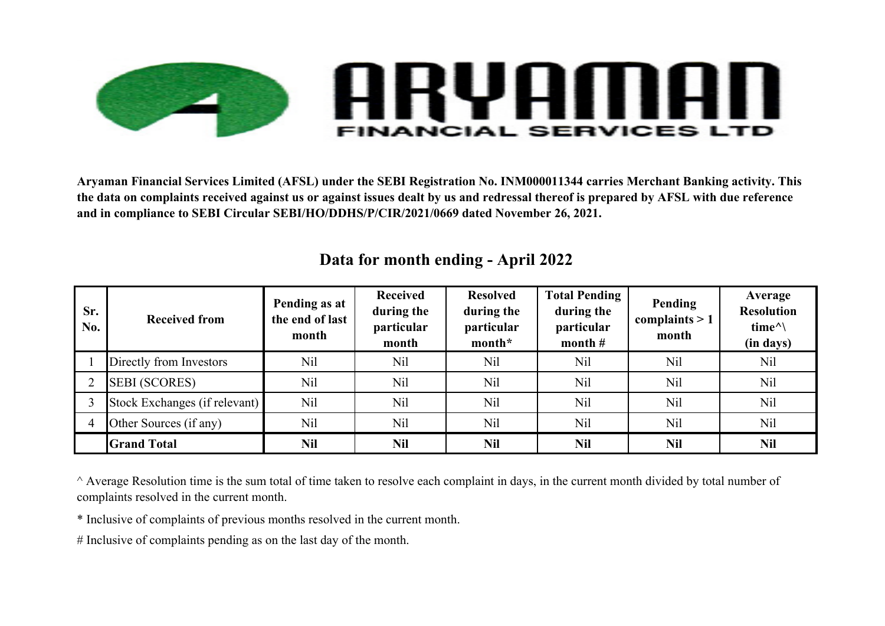

**Aryaman Financial Services Limited (AFSL) under the SEBI Registration No. INM000011344 carries Merchant Banking activity. This the data on complaints received against us or against issues dealt by us and redressal thereof is prepared by AFSL with due reference and in compliance to SEBI Circular SEBI/HO/DDHS/P/CIR/2021/0669 dated November 26, 2021.**

| Sr.<br>No. | <b>Received from</b>          | Pending as at<br>the end of last<br>month | <b>Received</b><br>during the<br>particular<br>month | <b>Resolved</b><br>during the<br>particular<br>month* | <b>Total Pending</b><br>during the<br>particular<br>month $#$ | Pending<br>complaints $> 1$<br>month | Average<br><b>Resolution</b><br>time <sup>^</sup><br>(in days) |
|------------|-------------------------------|-------------------------------------------|------------------------------------------------------|-------------------------------------------------------|---------------------------------------------------------------|--------------------------------------|----------------------------------------------------------------|
|            | Directly from Investors       | N <sub>il</sub>                           | Nil                                                  | Nil                                                   | Nil                                                           | N <sub>il</sub>                      | <b>Nil</b>                                                     |
|            | <b>SEBI (SCORES)</b>          | N <sub>il</sub>                           | Nil                                                  | Nil                                                   | Nil                                                           | N <sub>il</sub>                      | <b>Nil</b>                                                     |
|            | Stock Exchanges (if relevant) | Nil                                       | Nil                                                  | N <sub>il</sub>                                       | Nil                                                           | N <sub>il</sub>                      | N <sub>il</sub>                                                |
| 4          | Other Sources (if any)        | N <sub>il</sub>                           | Nil                                                  | N <sub>il</sub>                                       | <b>Nil</b>                                                    | N <sub>il</sub>                      | N <sub>il</sub>                                                |
|            | <b>Grand Total</b>            | <b>Nil</b>                                | <b>Nil</b>                                           | <b>Nil</b>                                            | <b>Nil</b>                                                    | <b>Nil</b>                           | <b>Nil</b>                                                     |

## **Data for month ending - April 2022**

^ Average Resolution time is the sum total of time taken to resolve each complaint in days, in the current month divided by total number of complaints resolved in the current month.

\* Inclusive of complaints of previous months resolved in the current month.

# Inclusive of complaints pending as on the last day of the month.